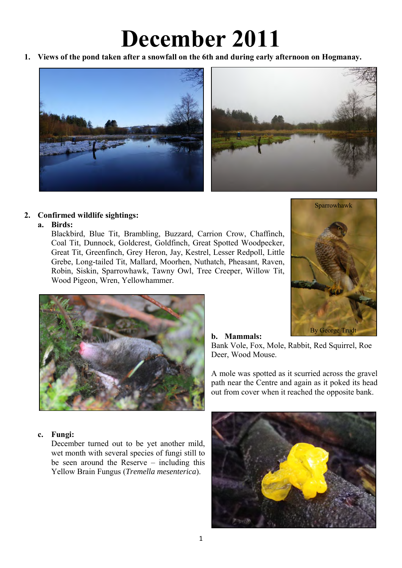# **December 2011**

**1. Views of the pond taken after a snowfall on the 6th and during early afternoon on Hogmanay.** 



# **2. Confirmed wildlife sightings:**

#### **a. Birds:**

Blackbird, Blue Tit, Brambling, Buzzard, Carrion Crow, Chaffinch, Coal Tit, Dunnock, Goldcrest, Goldfinch, Great Spotted Woodpecker, Great Tit, Greenfinch, Grey Heron, Jay, Kestrel, Lesser Redpoll, Little Grebe, Long-tailed Tit, Mallard, Moorhen, Nuthatch, Pheasant, Raven, Robin, Siskin, Sparrowhawk, Tawny Owl, Tree Creeper, Willow Tit, Wood Pigeon, Wren, Yellowhammer.





# **b. Mammals:**

Bank Vole, Fox, Mole, Rabbit, Red Squirrel, Roe Deer, Wood Mouse.

A mole was spotted as it scurried across the gravel path near the Centre and again as it poked its head out from cover when it reached the opposite bank.

## **c. Fungi:**

December turned out to be yet another mild, wet month with several species of fungi still to be seen around the Reserve – including this Yellow Brain Fungus (*Tremella mesenterica*).

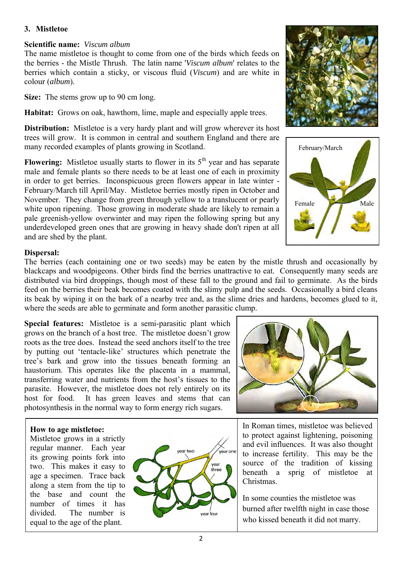## **3. Mistletoe**

#### **Scientific name:** *Viscum album*

The name mistletoe is thought to come from one of the birds which feeds on the berries - the Mistle Thrush. The latin name '*Viscum album*' relates to the berries which contain a sticky, or viscous fluid (*Viscum*) and are white in colour (*album*).

**Size:** The stems grow up to 90 cm long.

**Habitat:** Grows on oak, hawthorn, lime, maple and especially apple trees.

**Distribution:** Mistletoe is a very hardy plant and will grow wherever its host trees will grow. It is common in central and southern England and there are many recorded examples of plants growing in Scotland.

**Flowering:** Mistletoe usually starts to flower in its  $5<sup>th</sup>$  year and has separate male and female plants so there needs to be at least one of each in proximity in order to get berries. Inconspicuous green flowers appear in late winter - February/March till April/May. Mistletoe berries mostly ripen in October and November. They change from green through yellow to a translucent or pearly white upon ripening. Those growing in moderate shade are likely to remain a pale greenish-yellow overwinter and may ripen the following spring but any underdeveloped green ones that are growing in heavy shade don't ripen at all and are shed by the plant.

#### **Dispersal:**

The berries (each containing one or two seeds) may be eaten by the mistle thrush and occasionally by blackcaps and woodpigeons. Other birds find the berries unattractive to eat. Consequently many seeds are distributed via bird droppings, though most of these fall to the ground and fail to germinate. As the birds feed on the berries their beak becomes coated with the slimy pulp and the seeds. Occasionally a bird cleans its beak by wiping it on the bark of a nearby tree and, as the slime dries and hardens, becomes glued to it, where the seeds are able to germinate and form another parasitic clump.

**Special features:** Mistletoe is a semi-parasitic plant which grows on the branch of a host tree. The mistletoe doesn't grow roots as the tree does. Instead the seed anchors itself to the tree by putting out 'tentacle-like' structures which penetrate the tree's bark and grow into the tissues beneath forming an haustorium. This operates like the placenta in a mammal, transferring water and nutrients from the host's tissues to the parasite. However, the mistletoe does not rely entirely on its host for food. It has green leaves and stems that can photosynthesis in the normal way to form energy rich sugars.



#### **How to age mistletoe:**

Mistletoe grows in a strictly regular manner. Each year its growing points fork into two. This makes it easy to age a specimen. Trace back along a stem from the tip to the base and count the number of times it has divided. The number is equal to the age of the plant.







to protect against lightening, poisoning and evil influences. It was also thought to increase fertility. This may be the source of the tradition of kissing beneath a sprig of mistletoe at Christmas.

In some counties the mistletoe was burned after twelfth night in case those who kissed beneath it did not marry.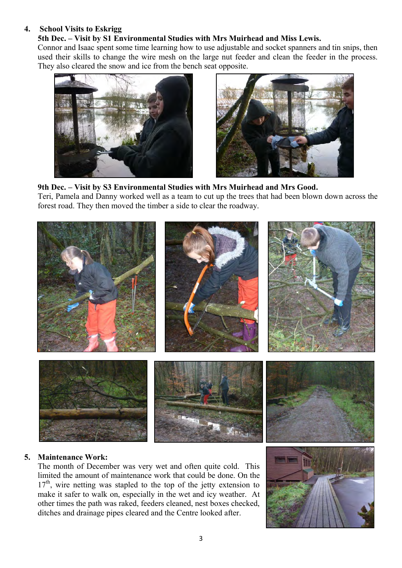#### **4. School Visits to Eskrigg**

# **5th Dec. – Visit by S1 Environmental Studies with Mrs Muirhead and Miss Lewis.**

Connor and Isaac spent some time learning how to use adjustable and socket spanners and tin snips, then used their skills to change the wire mesh on the large nut feeder and clean the feeder in the process. They also cleared the snow and ice from the bench seat opposite.





## **9th Dec. – Visit by S3 Environmental Studies with Mrs Muirhead and Mrs Good.**

Teri, Pamela and Danny worked well as a team to cut up the trees that had been blown down across the forest road. They then moved the timber a side to clear the roadway.



# **5. Maintenance Work:**

The month of December was very wet and often quite cold. This limited the amount of maintenance work that could be done. On the 17<sup>th</sup>, wire netting was stapled to the top of the jetty extension to make it safer to walk on, especially in the wet and icy weather. At other times the path was raked, feeders cleaned, nest boxes checked, ditches and drainage pipes cleared and the Centre looked after.

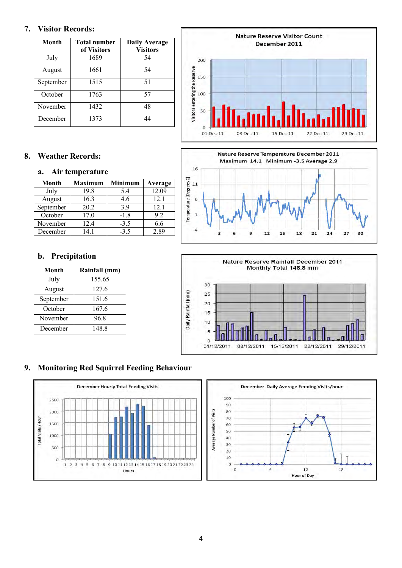#### **7. Visitor Records:**

| Month     | <b>Total number</b><br>of Visitors | <b>Daily Average</b><br><b>Visitors</b> |
|-----------|------------------------------------|-----------------------------------------|
| July      | 1689                               | 54                                      |
| August    | 1661                               | 54                                      |
| September | 1515                               | 51                                      |
| October   | 1763                               | 57                                      |
| November  | 1432                               | 48                                      |
| December  | 1373                               | 44                                      |

# **8. Weather Records:**

#### **a. Air temperature**

| Month     | <b>Maximum</b> | <b>Minimum</b> | Average |
|-----------|----------------|----------------|---------|
| July      | 19.8           | 5.4            | 12.09   |
| August    | 16.3           | 4.6            | 12.1    |
| September | 20.2           | 39             | 12.1    |
| October   | 17.0           | $-1.8$         | 9.2     |
| November  | 12.4           | $-3.5$         | 6.6     |
| December  | 14 1           | $-3.5$         | 2.89    |

# **b. Precipitation**

| Month     | Rainfall (mm) |  |
|-----------|---------------|--|
| July      | 155.65        |  |
| August    | 127.6         |  |
| September | 151.6         |  |
| October   | 167.6         |  |
| November  | 96.8          |  |
| December  | 148.8         |  |







# **9. Monitoring Red Squirrel Feeding Behaviour**